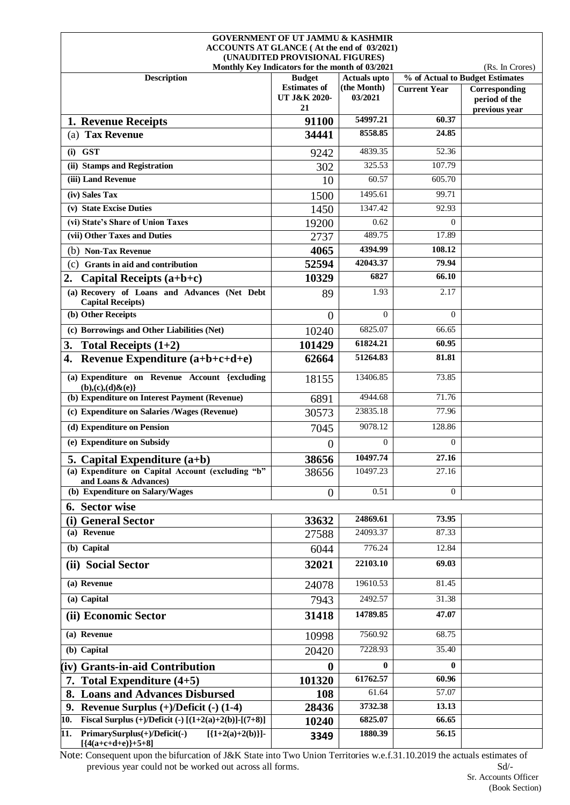|                                                                                    | <b>GOVERNMENT OF UT JAMMU &amp; KASHMIR</b><br>ACCOUNTS AT GLANCE (At the end of 03/2021) |                        |                     |                                                 |
|------------------------------------------------------------------------------------|-------------------------------------------------------------------------------------------|------------------------|---------------------|-------------------------------------------------|
|                                                                                    | (UNAUDITED PROVISIONAL FIGURES)<br>Monthly Key Indicators for the month of 03/2021        |                        |                     | (Rs. In Crores)                                 |
| <b>Description</b>                                                                 | <b>Budget</b>                                                                             | <b>Actuals upto</b>    |                     | % of Actual to Budget Estimates                 |
|                                                                                    | <b>Estimates of</b><br>UT J&K 2020-<br>21                                                 | (the Month)<br>03/2021 | <b>Current Year</b> | Corresponding<br>period of the<br>previous year |
| 1. Revenue Receipts                                                                | 91100                                                                                     | 54997.21               | 60.37               |                                                 |
| (a) Tax Revenue                                                                    | 34441                                                                                     | 8558.85                | 24.85               |                                                 |
| $(i)$ GST                                                                          | 9242                                                                                      | 4839.35                | 52.36               |                                                 |
| (ii) Stamps and Registration                                                       | 302                                                                                       | 325.53                 | 107.79              |                                                 |
| (iii) Land Revenue                                                                 | 10                                                                                        | 60.57                  | 605.70              |                                                 |
| (iv) Sales Tax                                                                     | 1500                                                                                      | 1495.61                | 99.71               |                                                 |
| (v) State Excise Duties                                                            | 1450                                                                                      | 1347.42                | 92.93               |                                                 |
| (vi) State's Share of Union Taxes                                                  | 19200                                                                                     | 0.62                   | $\Omega$            |                                                 |
| (vii) Other Taxes and Duties                                                       | 2737                                                                                      | 489.75                 | 17.89               |                                                 |
| (b) Non-Tax Revenue                                                                | 4065                                                                                      | 4394.99                | 108.12              |                                                 |
| <b>Grants in aid and contribution</b><br>(c)                                       | 52594                                                                                     | 42043.37               | 79.94               |                                                 |
| Capital Receipts $(a+b+c)$<br>2.                                                   | 10329                                                                                     | 6827                   | 66.10               |                                                 |
| (a) Recovery of Loans and Advances (Net Debt<br><b>Capital Receipts)</b>           | 89                                                                                        | 1.93                   | 2.17                |                                                 |
| (b) Other Receipts                                                                 | $\overline{0}$                                                                            | $\Omega$               | $\Omega$            |                                                 |
| (c) Borrowings and Other Liabilities (Net)                                         | 10240                                                                                     | 6825.07                | 66.65               |                                                 |
| 3.<br>Total Receipts $(1+2)$                                                       | 101429                                                                                    | 61824.21               | 60.95               |                                                 |
| Revenue Expenditure (a+b+c+d+e)<br>4.                                              | 62664                                                                                     | 51264.83               | 81.81               |                                                 |
| (a) Expenditure on Revenue Account {excluding<br>$(b), (c), (d) \& (e)$            | 18155                                                                                     | 13406.85               | 73.85               |                                                 |
| (b) Expenditure on Interest Payment (Revenue)                                      | 6891                                                                                      | 4944.68                | 71.76               |                                                 |
| (c) Expenditure on Salaries /Wages (Revenue)                                       | 30573                                                                                     | 23835.18               | 77.96               |                                                 |
| (d) Expenditure on Pension                                                         | 7045                                                                                      | 9078.12                | 128.86              |                                                 |
| (e) Expenditure on Subsidy                                                         | 0                                                                                         | $\Omega$               | $\Omega$            |                                                 |
| 5. Capital Expenditure (a+b)                                                       | 38656                                                                                     | 10497.74               | 27.16               |                                                 |
| (a) Expenditure on Capital Account (excluding "b"<br>and Loans & Advances)         | 38656                                                                                     | 10497.23               | 27.16               |                                                 |
| (b) Expenditure on Salary/Wages                                                    | $\boldsymbol{0}$                                                                          | 0.51                   | $\Omega$            |                                                 |
| 6. Sector wise                                                                     |                                                                                           |                        |                     |                                                 |
| (i) General Sector                                                                 | 33632                                                                                     | 24869.61               | 73.95               |                                                 |
| (a) Revenue                                                                        | 27588                                                                                     | 24093.37               | 87.33               |                                                 |
| (b) Capital                                                                        | 6044                                                                                      | 776.24                 | 12.84               |                                                 |
| (ii) Social Sector                                                                 | 32021                                                                                     | 22103.10               | 69.03               |                                                 |
| (a) Revenue                                                                        | 24078                                                                                     | 19610.53               | 81.45               |                                                 |
| (a) Capital                                                                        | 7943                                                                                      | 2492.57                | 31.38               |                                                 |
| (ii) Economic Sector                                                               | 31418                                                                                     | 14789.85               | 47.07               |                                                 |
| (a) Revenue                                                                        | 10998                                                                                     | 7560.92                | 68.75               |                                                 |
| (b) Capital                                                                        | 20420                                                                                     | 7228.93                | 35.40               |                                                 |
| (iv) Grants-in-aid Contribution                                                    | 0                                                                                         | $\mathbf{0}$           | 0                   |                                                 |
| 7. Total Expenditure (4+5)                                                         | 101320                                                                                    | 61762.57               | 60.96               |                                                 |
| <b>Loans and Advances Disbursed</b><br>8.                                          | 108                                                                                       | 61.64                  | 57.07               |                                                 |
| Revenue Surplus $(+)/$ Deficit $(-)$ (1-4)<br>9.                                   | 28436                                                                                     | 3732.38                | 13.13               |                                                 |
| Fiscal Surplus (+)/Deficit (-) $[(1+2(a)+2(b)]-[(7+8)]$<br>10.                     | 10240                                                                                     | 6825.07                | 66.65               |                                                 |
| PrimarySurplus(+)/Deficit(-)<br>11.<br>$[{1+2(a)+2(b)}]$ -<br>$[{4(a+c+d+e)}+5+8]$ | 3349                                                                                      | 1880.39                | 56.15               |                                                 |

Note: Consequent upon the bifurcation of J&K State into Two Union Territories w.e.f.31.10.2019 the actuals estimates of previous year could not be worked out across all forms. Sd/-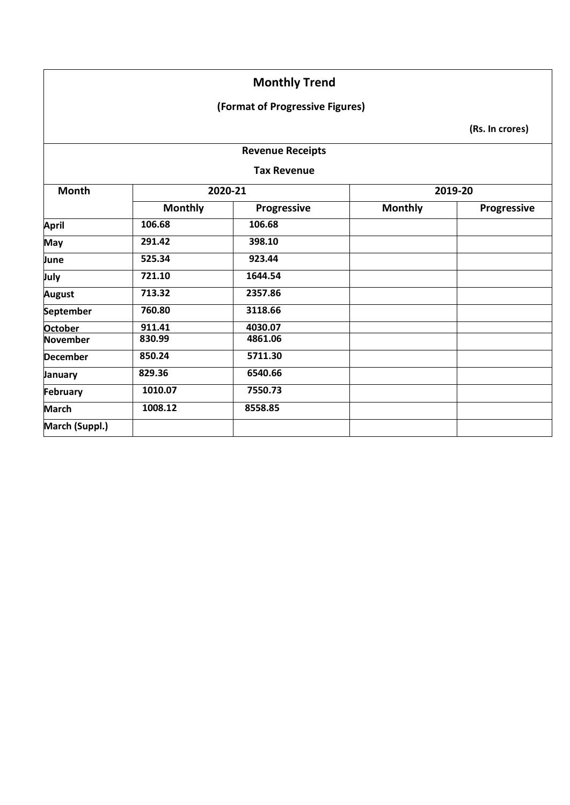## **(Format of Progressive Figures)**

|                    |                | <b>Revenue Receipts</b> |                |             |  |
|--------------------|----------------|-------------------------|----------------|-------------|--|
| <b>Tax Revenue</b> |                |                         |                |             |  |
| <b>Month</b>       |                | 2020-21                 |                | 2019-20     |  |
|                    | <b>Monthly</b> | Progressive             | <b>Monthly</b> | Progressive |  |
| <b>April</b>       | 106.68         | 106.68                  |                |             |  |
| <b>May</b>         | 291.42         | 398.10                  |                |             |  |
| June               | 525.34         | 923.44                  |                |             |  |
| July               | 721.10         | 1644.54                 |                |             |  |
| <b>August</b>      | 713.32         | 2357.86                 |                |             |  |
| September          | 760.80         | 3118.66                 |                |             |  |
| <b>October</b>     | 911.41         | 4030.07                 |                |             |  |
| November           | 830.99         | 4861.06                 |                |             |  |
| <b>December</b>    | 850.24         | 5711.30                 |                |             |  |
| January            | 829.36         | 6540.66                 |                |             |  |
| February           | 1010.07        | 7550.73                 |                |             |  |
| <b>March</b>       | 1008.12        | 8558.85                 |                |             |  |
| March (Suppl.)     |                |                         |                |             |  |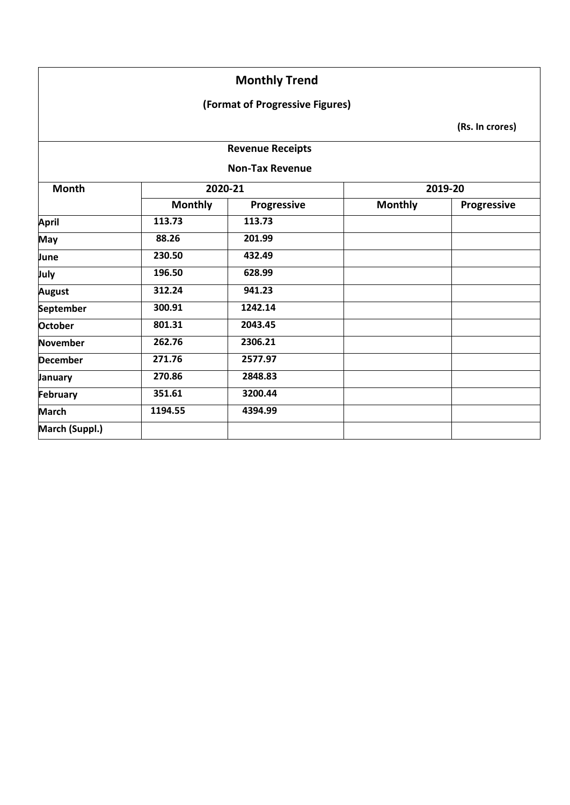### **(Format of Progressive Figures)**

|                 |                |                         |                | (Rs. In crores)    |
|-----------------|----------------|-------------------------|----------------|--------------------|
|                 |                | <b>Revenue Receipts</b> |                |                    |
|                 |                | <b>Non-Tax Revenue</b>  |                |                    |
| <b>Month</b>    | 2020-21        |                         |                | 2019-20            |
|                 | <b>Monthly</b> | Progressive             | <b>Monthly</b> | <b>Progressive</b> |
| <b>April</b>    | 113.73         | 113.73                  |                |                    |
| <b>May</b>      | 88.26          | 201.99                  |                |                    |
| June            | 230.50         | 432.49                  |                |                    |
| July            | 196.50         | 628.99                  |                |                    |
| <b>August</b>   | 312.24         | 941.23                  |                |                    |
| September       | 300.91         | 1242.14                 |                |                    |
| <b>October</b>  | 801.31         | 2043.45                 |                |                    |
| November        | 262.76         | 2306.21                 |                |                    |
| <b>December</b> | 271.76         | 2577.97                 |                |                    |
| <b>January</b>  | 270.86         | 2848.83                 |                |                    |
| February        | 351.61         | 3200.44                 |                |                    |
| <b>March</b>    | 1194.55        | 4394.99                 |                |                    |
| March (Suppl.)  |                |                         |                |                    |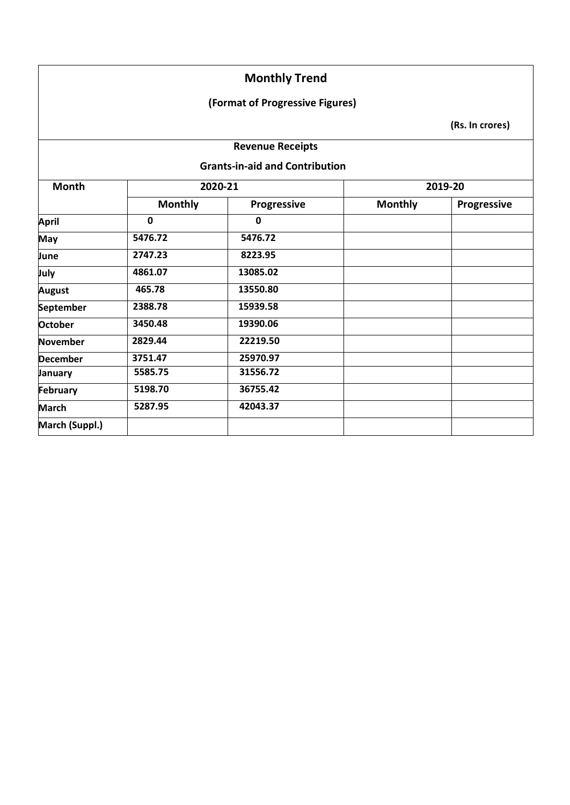### **(Format of Progressive Figures)**

**(Rs. In crores)**

#### **Revenue Receipts**

#### **Grants-in-aid and Contribution**

| <b>Month</b>     |                | 2020-21            | 2019-20        |             |
|------------------|----------------|--------------------|----------------|-------------|
|                  | <b>Monthly</b> | <b>Progressive</b> | <b>Monthly</b> | Progressive |
| <b>April</b>     | 0              | 0                  |                |             |
| <b>May</b>       | 5476.72        | 5476.72            |                |             |
| June             | 2747.23        | 8223.95            |                |             |
| July             | 4861.07        | 13085.02           |                |             |
| <b>August</b>    | 465.78         | 13550.80           |                |             |
| <b>September</b> | 2388.78        | 15939.58           |                |             |
| <b>October</b>   | 3450.48        | 19390.06           |                |             |
| November         | 2829.44        | 22219.50           |                |             |
| <b>December</b>  | 3751.47        | 25970.97           |                |             |
| January          | 5585.75        | 31556.72           |                |             |
| February         | 5198.70        | 36755.42           |                |             |
| <b>March</b>     | 5287.95        | 42043.37           |                |             |
| March (Suppl.)   |                |                    |                |             |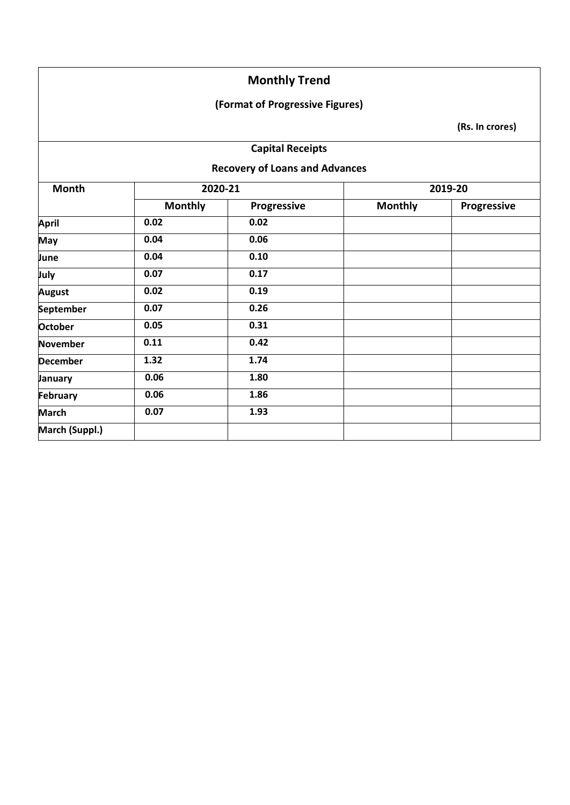## **(Format of Progressive Figures)**

| <b>Capital Receipts</b><br><b>Recovery of Loans and Advances</b> |                |             |                |             |
|------------------------------------------------------------------|----------------|-------------|----------------|-------------|
|                                                                  |                |             |                |             |
|                                                                  | <b>Monthly</b> | Progressive | <b>Monthly</b> | Progressive |
| <b>April</b>                                                     | 0.02           | 0.02        |                |             |
| <b>May</b>                                                       | 0.04           | 0.06        |                |             |
| June                                                             | 0.04           | 0.10        |                |             |
| July                                                             | 0.07           | 0.17        |                |             |
| <b>August</b>                                                    | 0.02           | 0.19        |                |             |
| September                                                        | 0.07           | 0.26        |                |             |
| October                                                          | 0.05           | 0.31        |                |             |
| <b>November</b>                                                  | 0.11           | 0.42        |                |             |
| <b>December</b>                                                  | 1.32           | 1.74        |                |             |
| <b>January</b>                                                   | 0.06           | 1.80        |                |             |
| <b>February</b>                                                  | 0.06           | 1.86        |                |             |
| <b>March</b>                                                     | 0.07           | 1.93        |                |             |
| March (Suppl.)                                                   |                |             |                |             |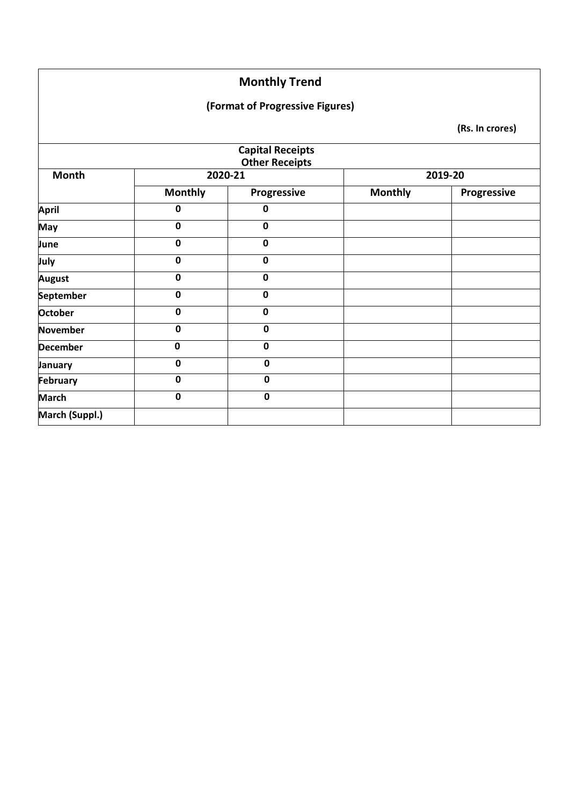## **(Format of Progressive Figures)**

|                  |                | <b>Capital Receipts</b><br><b>Other Receipts</b> |                |             |
|------------------|----------------|--------------------------------------------------|----------------|-------------|
| <b>Month</b>     | 2020-21        |                                                  |                | 2019-20     |
|                  | <b>Monthly</b> | Progressive                                      | <b>Monthly</b> | Progressive |
| <b>April</b>     | 0              | $\mathbf 0$                                      |                |             |
| May              | 0              | $\mathbf 0$                                      |                |             |
| June             | $\mathbf 0$    | $\mathbf 0$                                      |                |             |
| July             | $\mathbf 0$    | $\mathbf 0$                                      |                |             |
| <b>August</b>    | $\mathbf 0$    | $\mathbf 0$                                      |                |             |
| <b>September</b> | $\mathbf 0$    | $\pmb{0}$                                        |                |             |
| <b>October</b>   | $\mathbf 0$    | $\mathbf 0$                                      |                |             |
| <b>November</b>  | 0              | $\mathbf 0$                                      |                |             |
| <b>December</b>  | $\pmb{0}$      | 0                                                |                |             |
| January          | $\mathbf 0$    | $\pmb{0}$                                        |                |             |
| <b>February</b>  | $\mathbf 0$    | $\mathbf 0$                                      |                |             |
| <b>March</b>     | $\mathbf 0$    | $\mathbf 0$                                      |                |             |
| March (Suppl.)   |                |                                                  |                |             |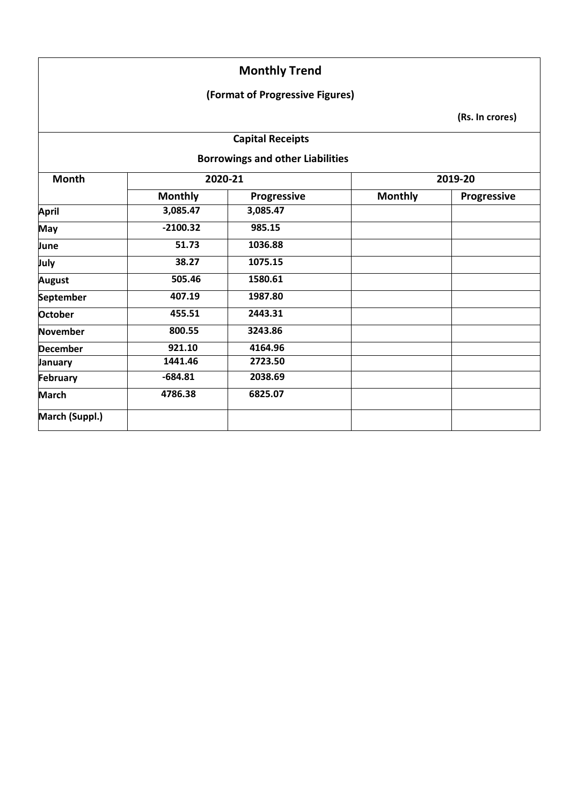### **(Format of Progressive Figures)**

**(Rs. In crores)**

## **Capital Receipts**

**Borrowings and other Liabilities**

| <b>Month</b>    |                | 2020-21     |                | 2019-20     |  |
|-----------------|----------------|-------------|----------------|-------------|--|
|                 | <b>Monthly</b> | Progressive | <b>Monthly</b> | Progressive |  |
| <b>April</b>    | 3,085.47       | 3,085.47    |                |             |  |
| May             | $-2100.32$     | 985.15      |                |             |  |
| June            | 51.73          | 1036.88     |                |             |  |
| July            | 38.27          | 1075.15     |                |             |  |
| <b>August</b>   | 505.46         | 1580.61     |                |             |  |
| September       | 407.19         | 1987.80     |                |             |  |
| <b>October</b>  | 455.51         | 2443.31     |                |             |  |
| November        | 800.55         | 3243.86     |                |             |  |
| <b>December</b> | 921.10         | 4164.96     |                |             |  |
| January         | 1441.46        | 2723.50     |                |             |  |
| February        | $-684.81$      | 2038.69     |                |             |  |
| <b>March</b>    | 4786.38        | 6825.07     |                |             |  |
| March (Suppl.)  |                |             |                |             |  |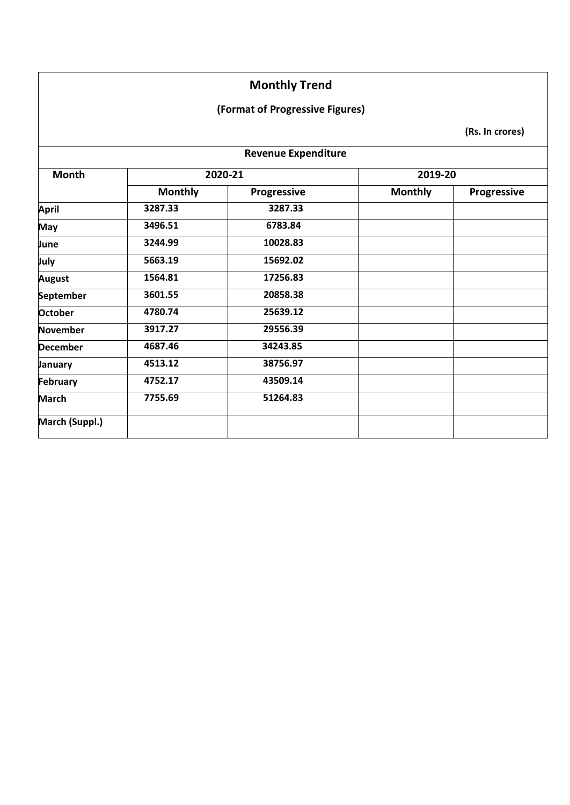### **(Format of Progressive Figures)**

|                 |                | <b>Revenue Expenditure</b> |                |             |
|-----------------|----------------|----------------------------|----------------|-------------|
| <b>Month</b>    |                | 2020-21                    | 2019-20        |             |
|                 | <b>Monthly</b> | <b>Progressive</b>         | <b>Monthly</b> | Progressive |
| <b>April</b>    | 3287.33        | 3287.33                    |                |             |
| <b>May</b>      | 3496.51        | 6783.84                    |                |             |
| June            | 3244.99        | 10028.83                   |                |             |
| July            | 5663.19        | 15692.02                   |                |             |
| <b>August</b>   | 1564.81        | 17256.83                   |                |             |
| September       | 3601.55        | 20858.38                   |                |             |
| <b>October</b>  | 4780.74        | 25639.12                   |                |             |
| November        | 3917.27        | 29556.39                   |                |             |
| <b>December</b> | 4687.46        | 34243.85                   |                |             |
| January         | 4513.12        | 38756.97                   |                |             |
| February        | 4752.17        | 43509.14                   |                |             |
| <b>March</b>    | 7755.69        | 51264.83                   |                |             |
| March (Suppl.)  |                |                            |                |             |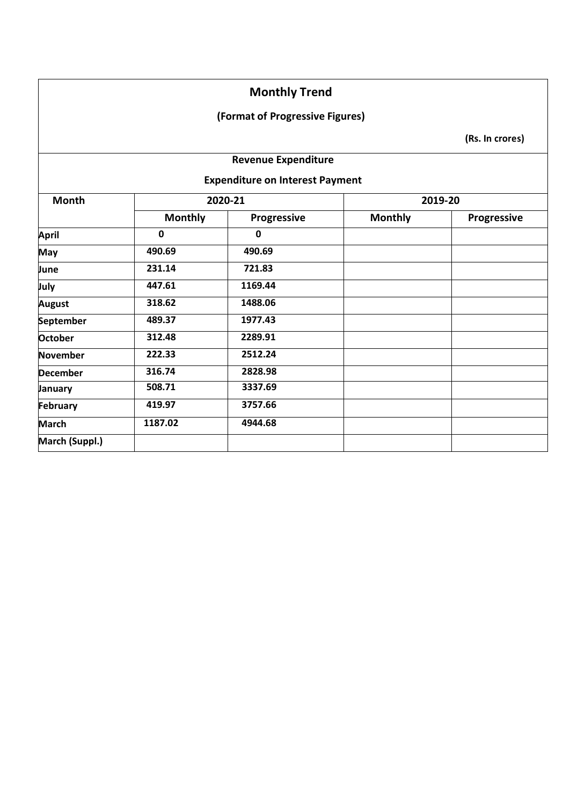### **(Format of Progressive Figures)**

**(Rs. In crores)**

### **Revenue Expenditure**

**Expenditure on Interest Payment**

| <b>Month</b>    |                | 2020-21     |                | 2019-20     |
|-----------------|----------------|-------------|----------------|-------------|
|                 | <b>Monthly</b> | Progressive | <b>Monthly</b> | Progressive |
| <b>April</b>    | 0              | $\mathbf 0$ |                |             |
| <b>May</b>      | 490.69         | 490.69      |                |             |
| June            | 231.14         | 721.83      |                |             |
| July            | 447.61         | 1169.44     |                |             |
| <b>August</b>   | 318.62         | 1488.06     |                |             |
| September       | 489.37         | 1977.43     |                |             |
| <b>October</b>  | 312.48         | 2289.91     |                |             |
| <b>November</b> | 222.33         | 2512.24     |                |             |
| <b>December</b> | 316.74         | 2828.98     |                |             |
| January         | 508.71         | 3337.69     |                |             |
| February        | 419.97         | 3757.66     |                |             |
| <b>March</b>    | 1187.02        | 4944.68     |                |             |
| March (Suppl.)  |                |             |                |             |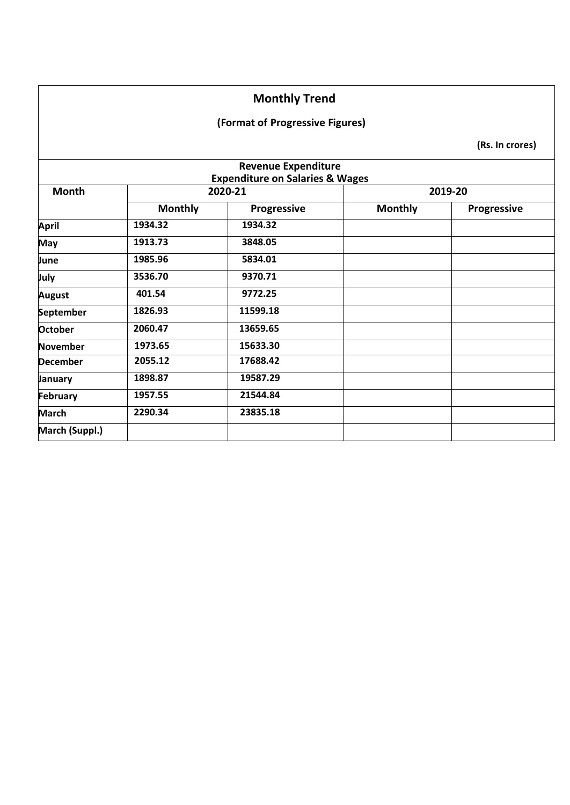### **(Format of Progressive Figures)**

|                 |                | <b>Revenue Expenditure</b><br><b>Expenditure on Salaries &amp; Wages</b> |                |                    |
|-----------------|----------------|--------------------------------------------------------------------------|----------------|--------------------|
| <b>Month</b>    |                | 2020-21                                                                  |                | 2019-20            |
|                 | <b>Monthly</b> | <b>Progressive</b>                                                       | <b>Monthly</b> | <b>Progressive</b> |
| <b>April</b>    | 1934.32        | 1934.32                                                                  |                |                    |
| May             | 1913.73        | 3848.05                                                                  |                |                    |
| June            | 1985.96        | 5834.01                                                                  |                |                    |
| July            | 3536.70        | 9370.71                                                                  |                |                    |
| <b>August</b>   | 401.54         | 9772.25                                                                  |                |                    |
| September       | 1826.93        | 11599.18                                                                 |                |                    |
| <b>October</b>  | 2060.47        | 13659.65                                                                 |                |                    |
| November        | 1973.65        | 15633.30                                                                 |                |                    |
| <b>December</b> | 2055.12        | 17688.42                                                                 |                |                    |
| January         | 1898.87        | 19587.29                                                                 |                |                    |
| February        | 1957.55        | 21544.84                                                                 |                |                    |
| <b>March</b>    | 2290.34        | 23835.18                                                                 |                |                    |
| March (Suppl.)  |                |                                                                          |                |                    |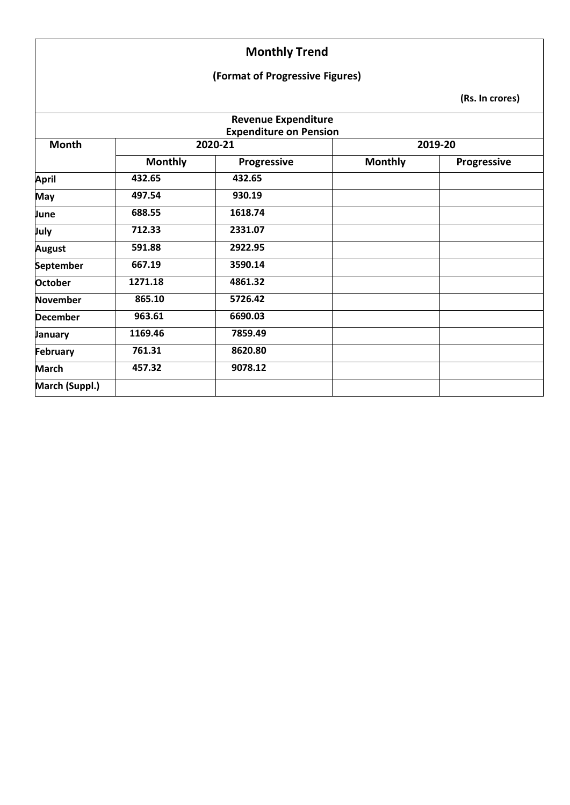### **(Format of Progressive Figures)**

|                  |                | <b>Revenue Expenditure</b><br><b>Expenditure on Pension</b> |                |                    |
|------------------|----------------|-------------------------------------------------------------|----------------|--------------------|
| <b>Month</b>     |                | 2020-21                                                     |                | 2019-20            |
|                  | <b>Monthly</b> | Progressive                                                 | <b>Monthly</b> | <b>Progressive</b> |
| <b>April</b>     | 432.65         | 432.65                                                      |                |                    |
| <b>May</b>       | 497.54         | 930.19                                                      |                |                    |
| June             | 688.55         | 1618.74                                                     |                |                    |
| July             | 712.33         | 2331.07                                                     |                |                    |
| <b>August</b>    | 591.88         | 2922.95                                                     |                |                    |
| <b>September</b> | 667.19         | 3590.14                                                     |                |                    |
| October          | 1271.18        | 4861.32                                                     |                |                    |
| <b>November</b>  | 865.10         | 5726.42                                                     |                |                    |
| <b>December</b>  | 963.61         | 6690.03                                                     |                |                    |
| January          | 1169.46        | 7859.49                                                     |                |                    |
| <b>February</b>  | 761.31         | 8620.80                                                     |                |                    |
| <b>March</b>     | 457.32         | 9078.12                                                     |                |                    |
| March (Suppl.)   |                |                                                             |                |                    |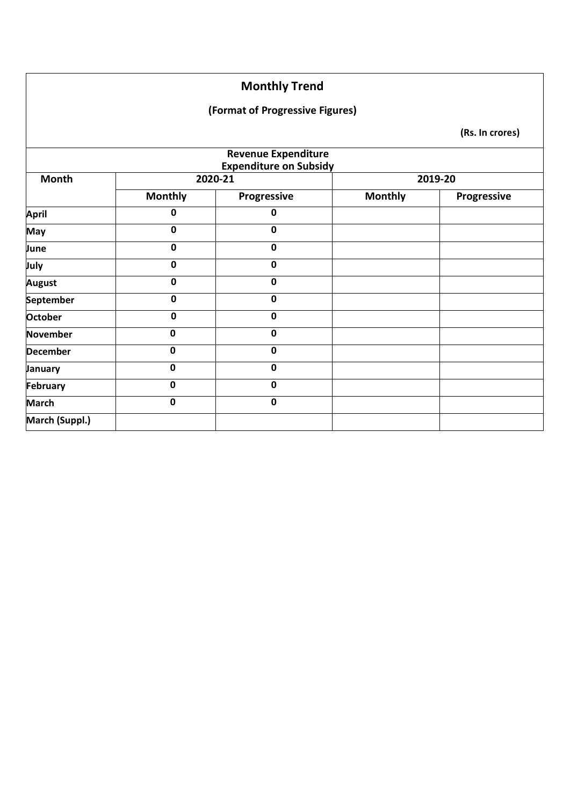### **(Format of Progressive Figures)**

|                  |                | <b>Revenue Expenditure</b><br><b>Expenditure on Subsidy</b> |                |             |
|------------------|----------------|-------------------------------------------------------------|----------------|-------------|
| <b>Month</b>     |                | 2020-21                                                     |                | 2019-20     |
|                  | <b>Monthly</b> | Progressive                                                 | <b>Monthly</b> | Progressive |
| <b>April</b>     | 0              | 0                                                           |                |             |
| May              | $\mathbf 0$    | $\mathbf 0$                                                 |                |             |
| June             | $\mathbf 0$    | $\mathbf 0$                                                 |                |             |
| July             | 0              | $\mathbf 0$                                                 |                |             |
| <b>August</b>    | $\mathbf 0$    | 0                                                           |                |             |
| <b>September</b> | $\mathbf 0$    | $\mathbf 0$                                                 |                |             |
| <b>October</b>   | $\mathbf 0$    | $\mathbf 0$                                                 |                |             |
| November         | $\mathbf 0$    | 0                                                           |                |             |
| <b>December</b>  | $\mathbf 0$    | $\mathbf 0$                                                 |                |             |
| January          | $\mathbf 0$    | $\mathbf 0$                                                 |                |             |
| <b>February</b>  | $\mathbf 0$    | $\mathbf 0$                                                 |                |             |
| <b>March</b>     | $\mathbf 0$    | $\pmb{0}$                                                   |                |             |
| March (Suppl.)   |                |                                                             |                |             |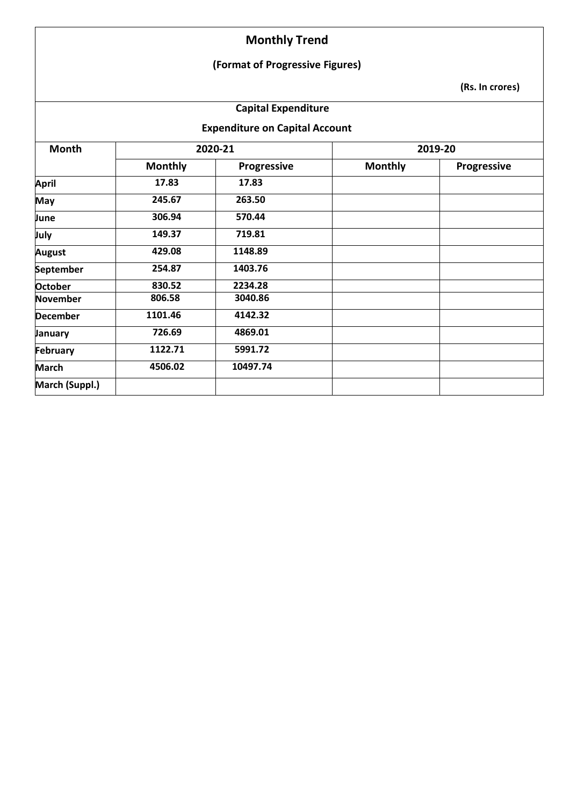### **(Format of Progressive Figures)**

**(Rs. In crores)**

### **Capital Expenditure**

**Expenditure on Capital Account** 

| <b>Month</b>    | 2020-21        |             | 2019-20        |             |  |
|-----------------|----------------|-------------|----------------|-------------|--|
|                 | <b>Monthly</b> | Progressive | <b>Monthly</b> | Progressive |  |
| <b>April</b>    | 17.83          | 17.83       |                |             |  |
| <b>May</b>      | 245.67         | 263.50      |                |             |  |
| June            | 306.94         | 570.44      |                |             |  |
| July            | 149.37         | 719.81      |                |             |  |
| <b>August</b>   | 429.08         | 1148.89     |                |             |  |
| September       | 254.87         | 1403.76     |                |             |  |
| <b>October</b>  | 830.52         | 2234.28     |                |             |  |
| <b>November</b> | 806.58         | 3040.86     |                |             |  |
| <b>December</b> | 1101.46        | 4142.32     |                |             |  |
| <b>January</b>  | 726.69         | 4869.01     |                |             |  |
| February        | 1122.71        | 5991.72     |                |             |  |
| <b>March</b>    | 4506.02        | 10497.74    |                |             |  |
| March (Suppl.)  |                |             |                |             |  |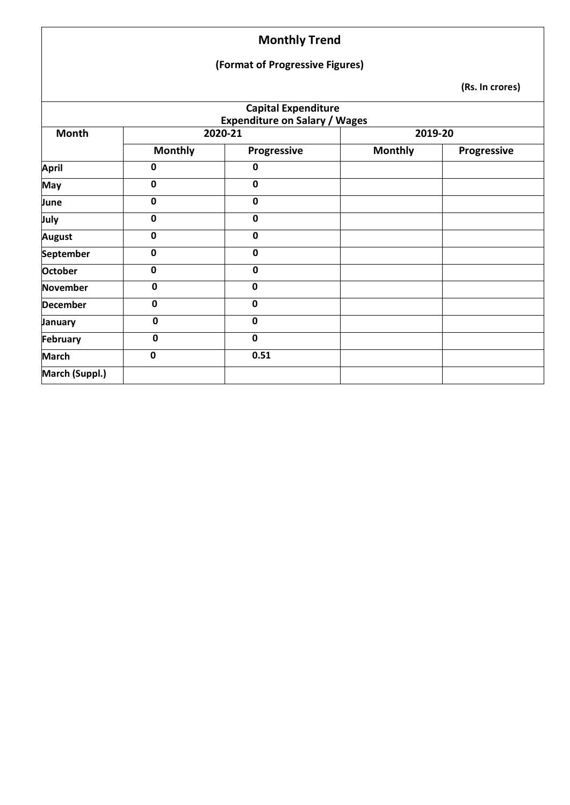### **(Format of Progressive Figures)**

|                 |                | <b>Capital Expenditure</b><br><b>Expenditure on Salary / Wages</b> |                |             |  |
|-----------------|----------------|--------------------------------------------------------------------|----------------|-------------|--|
| Month           | 2020-21        |                                                                    | 2019-20        |             |  |
|                 | <b>Monthly</b> | Progressive                                                        | <b>Monthly</b> | Progressive |  |
| <b>April</b>    | $\mathbf 0$    | $\mathbf 0$                                                        |                |             |  |
| <b>May</b>      | $\mathbf 0$    | $\mathbf 0$                                                        |                |             |  |
| June            | $\mathbf 0$    | $\mathbf 0$                                                        |                |             |  |
| July            | $\mathbf 0$    | $\mathbf 0$                                                        |                |             |  |
| <b>August</b>   | $\mathbf 0$    | $\mathbf 0$                                                        |                |             |  |
| September       | $\mathbf 0$    | $\mathbf 0$                                                        |                |             |  |
| <b>October</b>  | $\mathbf 0$    | $\mathbf 0$                                                        |                |             |  |
| <b>November</b> | $\mathbf 0$    | $\mathbf 0$                                                        |                |             |  |
| <b>December</b> | $\mathbf 0$    | $\mathbf 0$                                                        |                |             |  |
| January         | $\mathbf 0$    | $\mathbf 0$                                                        |                |             |  |
| February        | $\mathbf 0$    | $\mathbf 0$                                                        |                |             |  |
| <b>March</b>    | $\mathbf 0$    | 0.51                                                               |                |             |  |
| March (Suppl.)  |                |                                                                    |                |             |  |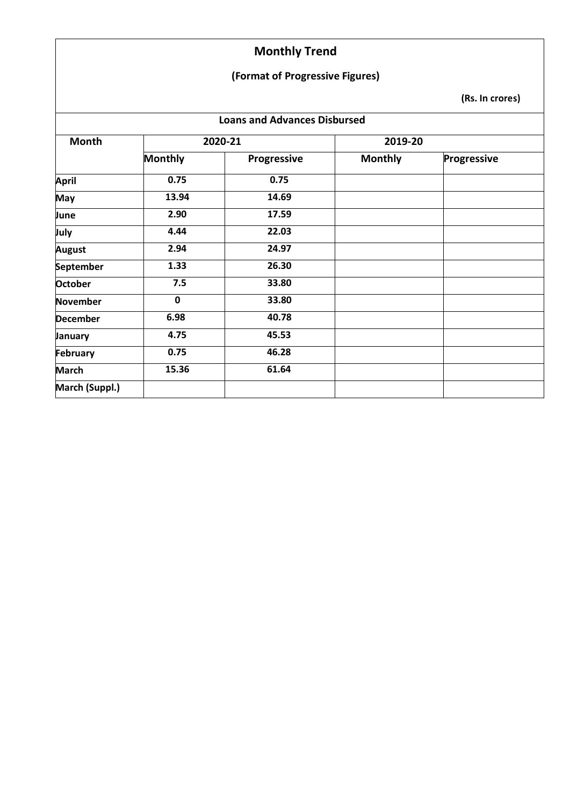### **(Format of Progressive Figures)**

| <b>Loans and Advances Disbursed</b> |                |                    |                |             |  |
|-------------------------------------|----------------|--------------------|----------------|-------------|--|
| Month                               | 2020-21        |                    | 2019-20        |             |  |
|                                     | <b>Monthly</b> | <b>Progressive</b> | <b>Monthly</b> | Progressive |  |
| <b>April</b>                        | 0.75           | 0.75               |                |             |  |
| <b>May</b>                          | 13.94          | 14.69              |                |             |  |
| June                                | 2.90           | 17.59              |                |             |  |
| July                                | 4.44           | 22.03              |                |             |  |
| <b>August</b>                       | 2.94           | 24.97              |                |             |  |
| <b>September</b>                    | 1.33           | 26.30              |                |             |  |
| <b>October</b>                      | 7.5            | 33.80              |                |             |  |
| <b>November</b>                     | $\mathbf 0$    | 33.80              |                |             |  |
| <b>December</b>                     | 6.98           | 40.78              |                |             |  |
| January                             | 4.75           | 45.53              |                |             |  |
| <b>February</b>                     | 0.75           | 46.28              |                |             |  |
| <b>March</b>                        | 15.36          | 61.64              |                |             |  |
| March (Suppl.)                      |                |                    |                |             |  |